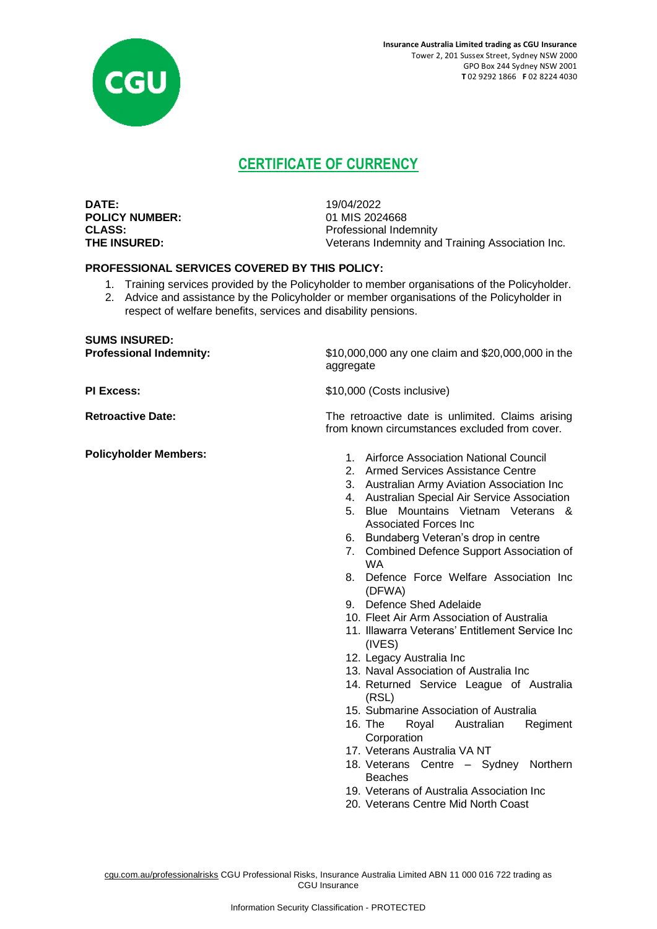

# **CERTIFICATE OF CURRENCY**

**DATE:** 19/04/2022 **POLICY NUMBER:** 01 MIS 2024668

**CLASS:** Professional Indemnity **THE INSURED:** Veterans Indemnity and Training Association Inc.

### **PROFESSIONAL SERVICES COVERED BY THIS POLICY:**

- 1. Training services provided by the Policyholder to member organisations of the Policyholder.
- 2. Advice and assistance by the Policyholder or member organisations of the Policyholder in respect of welfare benefits, services and disability pensions.

# **SUMS INSURED:**

**Professional Indemnity:** \$10,000,000 any one claim and \$20,000,000 in the aggregate

**PI Excess:**  $$10,000$  (Costs inclusive)

**Retroactive Date:** The retroactive date is unlimited. Claims arising from known circumstances excluded from cover.

- **Policyholder Members:** 2012 **1.** Airforce Association National Council
	- 2. Armed Services Assistance Centre
	- 3. Australian Army Aviation Association Inc
	- 4. Australian Special Air Service Association
	- 5. Blue Mountains Vietnam Veterans & Associated Forces Inc
	- 6. Bundaberg Veteran's drop in centre
	- 7. Combined Defence Support Association of WA
	- 8. Defence Force Welfare Association Inc (DFWA)
	- 9. Defence Shed Adelaide
	- 10. Fleet Air Arm Association of Australia
	- 11. Illawarra Veterans' Entitlement Service Inc (IVES)
	- 12. Legacy Australia Inc
	- 13. Naval Association of Australia Inc
	- 14. Returned Service League of Australia (RSL)
	- 15. Submarine Association of Australia
	- 16. The Royal Australian Regiment **Corporation**
	- 17. Veterans Australia VA NT
	- 18. Veterans Centre Sydney Northern Beaches
	- 19. Veterans of Australia Association Inc
	- 20. Veterans Centre Mid North Coast